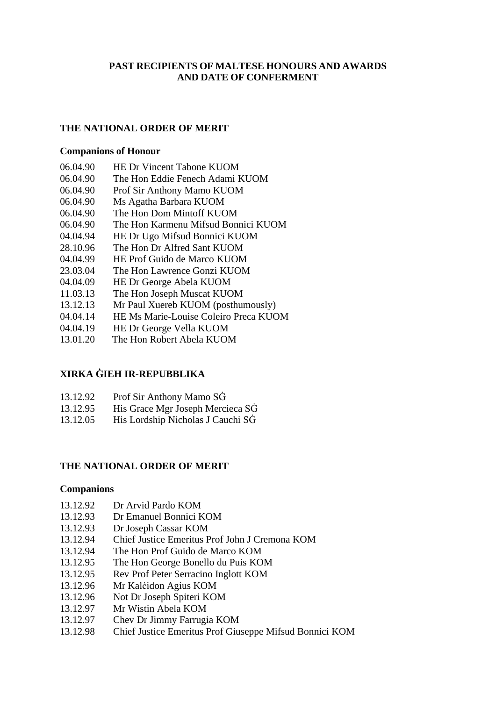# **PAST RECIPIENTS OF MALTESE HONOURS AND AWARDS AND DATE OF CONFERMENT**

## **THE NATIONAL ORDER OF MERIT**

#### **Companions of Honour**

- 06.04.90 HE Dr Vincent Tabone KUOM
- 06.04.90 The Hon Eddie Fenech Adami KUOM
- 06.04.90 Prof Sir Anthony Mamo KUOM
- 06.04.90 Ms Agatha Barbara KUOM
- 06.04.90 The Hon Dom Mintoff KUOM
- 06.04.90 The Hon Karmenu Mifsud Bonnici KUOM
- 04.04.94 HE Dr Ugo Mifsud Bonnici KUOM
- 28.10.96 The Hon Dr Alfred Sant KUOM
- 04.04.99 HE Prof Guido de Marco KUOM
- 23.03.04 The Hon Lawrence Gonzi KUOM
- 04.04.09 HE Dr George Abela KUOM
- 11.03.13 The Hon Joseph Muscat KUOM
- 13.12.13 Mr Paul Xuereb KUOM (posthumously)
- 04.04.14 HE Ms Marie-Louise Coleiro Preca KUOM
- 04.04.19 HE Dr George Vella KUOM
- 13.01.20 The Hon Robert Abela KUOM

## **XIRKA ĠIEH IR-REPUBBLIKA**

- 13.12.92 Prof Sir Anthony Mamo SĠ
- 13.12.95 His Grace Mgr Joseph Mercieca SĠ
- 13.12.05 His Lordship Nicholas J Cauchi SĠ

#### **THE NATIONAL ORDER OF MERIT**

#### **Companions**

- 13.12.92 Dr Arvid Pardo KOM
- 13.12.93 Dr Emanuel Bonnici KOM
- 13.12.93 Dr Joseph Cassar KOM
- 13.12.94 Chief Justice Emeritus Prof John J Cremona KOM
- 13.12.94 The Hon Prof Guido de Marco KOM
- 13.12.95 The Hon George Bonello du Puis KOM
- 13.12.95 Rev Prof Peter Serracino Inglott KOM
- 13.12.96 Mr Kalċidon Agius KOM
- 13.12.96 Not Dr Joseph Spiteri KOM
- 13.12.97 Mr Wistin Abela KOM
- 13.12.97 Chev Dr Jimmy Farrugia KOM
- 13.12.98 Chief Justice Emeritus Prof Giuseppe Mifsud Bonnici KOM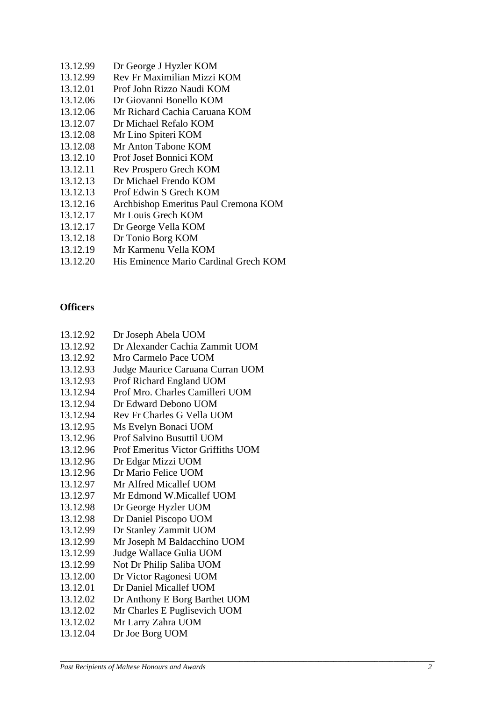- 13.12.99 Dr George J Hyzler KOM
- 13.12.99 Rev Fr Maximilian Mizzi KOM
- 13.12.01 Prof John Rizzo Naudi KOM
- 13.12.06 Dr Giovanni Bonello KOM
- 13.12.06 Mr Richard Cachia Caruana KOM
- 13.12.07 Dr Michael Refalo KOM
- 13.12.08 Mr Lino Spiteri KOM
- 13.12.08 Mr Anton Tabone KOM
- 13.12.10 Prof Josef Bonnici KOM
- 13.12.11 Rev Prospero Grech KOM
- 13.12.13 Dr Michael Frendo KOM
- 13.12.13 Prof Edwin S Grech KOM
- 13.12.16 Archbishop Emeritus Paul Cremona KOM
- 13.12.17 Mr Louis Grech KOM
- 13.12.17 Dr George Vella KOM
- 13.12.18 Dr Tonio Borg KOM
- 13.12.19 Mr Karmenu Vella KOM
- 13.12.20 His Eminence Mario Cardinal Grech KOM

# **Officers**

- 13.12.92 Dr Joseph Abela UOM
- 13.12.92 Dr Alexander Cachia Zammit UOM
- 13.12.92 Mro Carmelo Pace UOM
- 13.12.93 Judge Maurice Caruana Curran UOM
- 13.12.93 Prof Richard England UOM
- 13.12.94 Prof Mro. Charles Camilleri UOM
- 13.12.94 Dr Edward Debono UOM
- 13.12.94 Rev Fr Charles G Vella UOM
- 13.12.95 Ms Evelyn Bonaci UOM
- 13.12.96 Prof Salvino Busuttil UOM
- 13.12.96 Prof Emeritus Victor Griffiths UOM
- 13.12.96 Dr Edgar Mizzi UOM
- 13.12.96 Dr Mario Felice UOM
- 13.12.97 Mr Alfred Micallef UOM
- 13.12.97 Mr Edmond W.Micallef UOM
- 13.12.98 Dr George Hyzler UOM
- 13.12.98 Dr Daniel Piscopo UOM
- 13.12.99 Dr Stanley Zammit UOM
- 13.12.99 Mr Joseph M Baldacchino UOM
- 13.12.99 Judge Wallace Gulia UOM
- 13.12.99 Not Dr Philip Saliba UOM
- 13.12.00 Dr Victor Ragonesi UOM
- 13.12.01 Dr Daniel Micallef UOM
- 13.12.02 Dr Anthony E Borg Barthet UOM
- 13.12.02 Mr Charles E Puglisevich UOM
- 13.12.02 Mr Larry Zahra UOM
- 13.12.04 Dr Joe Borg UOM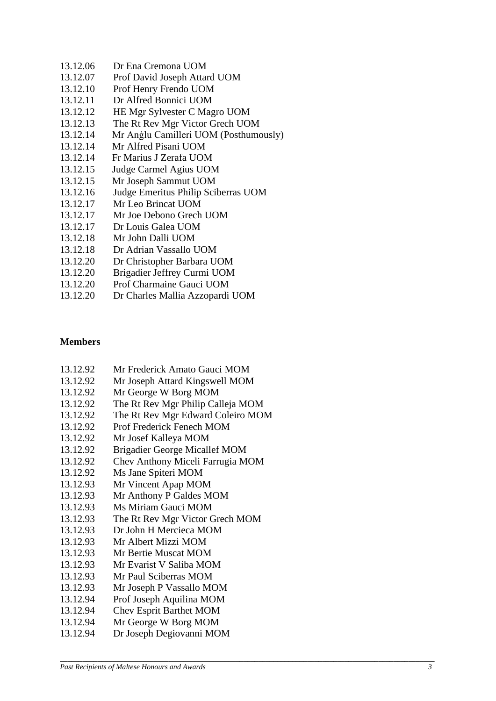- 13.12.06 Dr Ena Cremona UOM
- 13.12.07 Prof David Joseph Attard UOM
- 13.12.10 Prof Henry Frendo UOM
- 13.12.11 Dr Alfred Bonnici UOM
- 13.12.12 HE Mgr Sylvester C Magro UOM
- 13.12.13 The Rt Rev Mgr Victor Grech UOM
- 13.12.14 Mr Anġlu Camilleri UOM (Posthumously)
- 13.12.14 Mr Alfred Pisani UOM
- 13.12.14 Fr Marius J Zerafa UOM
- 13.12.15 Judge Carmel Agius UOM
- 13.12.1 5 Mr Joseph Sammut UOM
- 13.12.16 Judge Emeritus Philip Sciberras UOM
- 13.12.17 Mr Leo Brincat UOM
- 13.12.17 Mr Joe Debono Grech UOM
- 13.12.17 Dr Louis Galea UOM
- 13.12.18 Mr John Dalli UOM
- 13.12.18 Dr Adrian Vassallo UOM
- 13.12.20 Dr Christopher Barbara UOM
- 13.12.20 Brigadier Jeffrey Curmi UOM
- 13.12.20 Prof Charmaine Gauci UOM
- 13.12.20 Dr Charles Mallia Azzopardi UOM

## **Members**

- 13.12.92 Mr Frederick Amato Gauci MOM
- 13.12.92 Mr Joseph Attard Kingswell MOM
- 13.12.92 Mr George W Borg MOM
- 13.12.92 The Rt Rev Mgr Philip Calleja MOM
- 13.12.92 The Rt Rev Mgr Edward Coleiro MOM
- 13.12.92 Prof Frederick Fenech MOM
- 13.12.92 Mr Josef Kalleya MOM
- 13.12.92 Brigadier George Micallef MOM
- 13.12.92 Chev Anthony Miceli Farrugia MOM
- 13.12.92 Ms Jane Spiteri MOM
- 13.12.93 Mr Vincent Apap MOM
- 13.12.93 Mr Anthony P Galdes MOM
- 13.12.93 Ms Miriam Gauci MOM
- 13.12.93 The Rt Rev Mgr Victor Grech MOM
- 13.12.93 Dr John H Mercieca MOM
- 13.12.93 Mr Albert Mizzi MOM
- 13.12.93 Mr Bertie Muscat MOM
- 13.12.93 Mr Evarist V Saliba MOM
- 13.12.93 Mr Paul Sciberras MOM
- 13.12.93 Mr Joseph P Vassallo MOM
- 13.12.94 Prof Joseph Aquilina MOM
- 13.12.9 4 Chev Esprit Barthet MOM
- 13.12.94 Mr George W Borg MOM
- 13.12.94 Dr Joseph Degiovanni MOM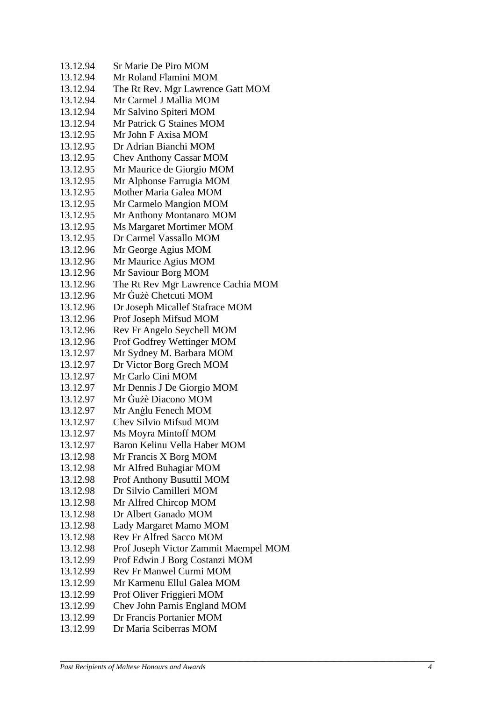| 13.12.94 | Sr Marie De Piro MOM                  |
|----------|---------------------------------------|
| 13.12.94 | Mr Roland Flamini MOM                 |
| 13.12.94 | The Rt Rev. Mgr Lawrence Gatt MOM     |
| 13.12.94 | Mr Carmel J Mallia MOM                |
| 13.12.94 | Mr Salvino Spiteri MOM                |
| 13.12.94 | Mr Patrick G Staines MOM              |
| 13.12.95 | Mr John F Axisa MOM                   |
| 13.12.95 | Dr Adrian Bianchi MOM                 |
| 13.12.95 | <b>Chev Anthony Cassar MOM</b>        |
| 13.12.95 | Mr Maurice de Giorgio MOM             |
| 13.12.95 | Mr Alphonse Farrugia MOM              |
| 13.12.95 | Mother Maria Galea MOM                |
| 13.12.95 | Mr Carmelo Mangion MOM                |
| 13.12.95 | Mr Anthony Montanaro MOM              |
| 13.12.95 | <b>Ms Margaret Mortimer MOM</b>       |
| 13.12.95 | Dr Carmel Vassallo MOM                |
| 13.12.96 | Mr George Agius MOM                   |
| 13.12.96 | Mr Maurice Agius MOM                  |
| 13.12.96 | Mr Saviour Borg MOM                   |
| 13.12.96 | The Rt Rev Mgr Lawrence Cachia MOM    |
| 13.12.96 | Mr Gużè Chetcuti MOM                  |
| 13.12.96 | Dr Joseph Micallef Stafrace MOM       |
| 13.12.96 | Prof Joseph Mifsud MOM                |
| 13.12.96 | Rev Fr Angelo Seychell MOM            |
| 13.12.96 | Prof Godfrey Wettinger MOM            |
| 13.12.97 | Mr Sydney M. Barbara MOM              |
| 13.12.97 | Dr Victor Borg Grech MOM              |
| 13.12.97 | Mr Carlo Cini MOM                     |
| 13.12.97 | Mr Dennis J De Giorgio MOM            |
| 13.12.97 | Mr Gużè Diacono MOM                   |
| 13.12.97 | Mr Anglu Fenech MOM                   |
| 13.12.97 | Chev Silvio Mifsud MOM                |
| 13.12.97 | Ms Moyra Mintoff MOM                  |
| 13.12.97 | Baron Kelinu Vella Haber MOM          |
| 13.12.98 | Mr Francis X Borg MOM                 |
| 13.12.98 | Mr Alfred Buhagiar MOM                |
| 13.12.98 | Prof Anthony Busuttil MOM             |
| 13.12.98 | Dr Silvio Camilleri MOM               |
| 13.12.98 | Mr Alfred Chircop MOM                 |
| 13.12.98 | Dr Albert Ganado MOM                  |
| 13.12.98 | Lady Margaret Mamo MOM                |
| 13.12.98 | <b>Rev Fr Alfred Sacco MOM</b>        |
| 13.12.98 | Prof Joseph Victor Zammit Maempel MOM |
| 13.12.99 | Prof Edwin J Borg Costanzi MOM        |
| 13.12.99 | <b>Rev Fr Manwel Curmi MOM</b>        |
| 13.12.99 | Mr Karmenu Ellul Galea MOM            |
| 13.12.99 | Prof Oliver Friggieri MOM             |
| 13.12.99 | Chev John Parnis England MOM          |
| 13.12.99 | Dr Francis Portanier MOM              |
| 13.12.99 | Dr Maria Sciberras MOM                |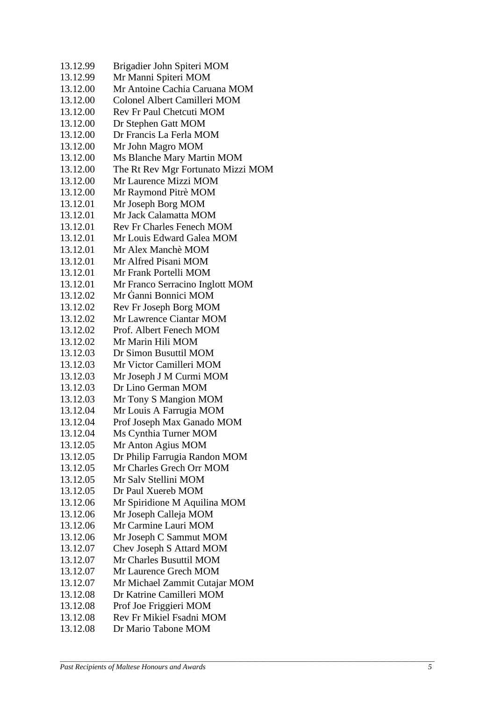| 13.12.99 | Brigadier John Spiteri MOM         |
|----------|------------------------------------|
| 13.12.99 | Mr Manni Spiteri MOM               |
| 13.12.00 | Mr Antoine Cachia Caruana MOM      |
| 13.12.00 | Colonel Albert Camilleri MOM       |
| 13.12.00 | <b>Rev Fr Paul Chetcuti MOM</b>    |
| 13.12.00 | Dr Stephen Gatt MOM                |
| 13.12.00 | Dr Francis La Ferla MOM            |
| 13.12.00 | Mr John Magro MOM                  |
| 13.12.00 | Ms Blanche Mary Martin MOM         |
| 13.12.00 | The Rt Rev Mgr Fortunato Mizzi MOM |
| 13.12.00 | Mr Laurence Mizzi MOM              |
| 13.12.00 | Mr Raymond Pitrè MOM               |
| 13.12.01 | Mr Joseph Borg MOM                 |
| 13.12.01 | Mr Jack Calamatta MOM              |
| 13.12.01 | <b>Rev Fr Charles Fenech MOM</b>   |
| 13.12.01 | Mr Louis Edward Galea MOM          |
| 13.12.01 | Mr Alex Manchè MOM                 |
| 13.12.01 | Mr Alfred Pisani MOM               |
| 13.12.01 | Mr Frank Portelli MOM              |
| 13.12.01 | Mr Franco Serracino Inglott MOM    |
| 13.12.02 | Mr Ganni Bonnici MOM               |
| 13.12.02 | Rev Fr Joseph Borg MOM             |
| 13.12.02 | Mr Lawrence Ciantar MOM            |
| 13.12.02 | Prof. Albert Fenech MOM            |
| 13.12.02 | Mr Marin Hili MOM                  |
| 13.12.03 | Dr Simon Busuttil MOM              |
| 13.12.03 | Mr Victor Camilleri MOM            |
| 13.12.03 | Mr Joseph J M Curmi MOM            |
| 13.12.03 | Dr Lino German MOM                 |
| 13.12.03 | Mr Tony S Mangion MOM              |
| 13.12.04 | Mr Louis A Farrugia MOM            |
| 13.12.04 | Prof Joseph Max Ganado MOM         |
| 13.12.04 | Ms Cynthia Turner MOM              |
| 13.12.05 | Mr Anton Agius MOM                 |
| 13.12.05 | Dr Philip Farrugia Randon MOM      |
| 13.12.05 | Mr Charles Grech Orr MOM           |
| 13.12.05 | Mr Salv Stellini MOM               |
| 13.12.05 | Dr Paul Xuereb MOM                 |
| 13.12.06 | Mr Spiridione M Aquilina MOM       |
| 13.12.06 | Mr Joseph Calleja MOM              |
| 13.12.06 | Mr Carmine Lauri MOM               |
| 13.12.06 | Mr Joseph C Sammut MOM             |
| 13.12.07 | Chev Joseph S Attard MOM           |
| 13.12.07 | Mr Charles Busuttil MOM            |
| 13.12.07 | Mr Laurence Grech MOM              |
| 13.12.07 | Mr Michael Zammit Cutajar MOM      |
| 13.12.08 | Dr Katrine Camilleri MOM           |
| 13.12.08 | Prof Joe Friggieri MOM             |
| 13.12.08 | Rev Fr Mikiel Fsadni MOM           |
| 13.12.08 | Dr Mario Tabone MOM                |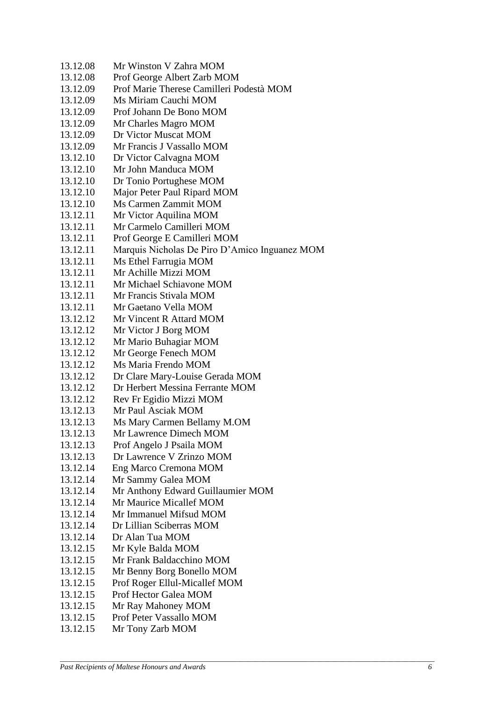13.12.08 Mr Winston V Zahra MOM 13.12.08 Prof George Albert Zarb MOM 13.12.09 Prof Marie Therese Camilleri Podestà MOM 13.12.09 Ms Miriam Cauchi MOM 13.12.09 Prof Johann De Bono MOM 13.12.09 Mr Charles Magro MOM<br>13.12.09 Dr Victor Muscat MOM Dr Victor Muscat MOM 13.12.09 Mr Francis J Vassallo MOM 13.12.10 Dr Victor Calvagna MOM 13.12.10 Mr John Manduca MOM 13.12.10 Dr Tonio Portughese MOM 13.12.10 Major Peter Paul Ripard MOM 13.12.10 Ms Carmen Zammit MOM 13.12.11 Mr Victor Aquilina MOM 13.12.11 Mr Carmelo Camilleri MOM 13.12.11 Prof George E Camilleri MOM 13.12.11 Marquis Nicholas De Piro D'Amico Inguanez MOM 13.12.11 Ms Ethel Farrugia MOM 13.12.11 Mr Achille Mizzi MOM 13.12.11 Mr Michael Schiavone MOM 13.12.11 Mr Francis Stivala MOM 13.12.11 Mr Gaetano Vella MOM 13.12.12 Mr Vincent R Attard MOM 13.12.12 Mr Victor J Borg MOM 13.12.12 Mr Mario Buhagiar MOM 13.12.12 Mr George Fenech MOM 13.12.12 Ms Maria Frendo MOM 13.12.12 Dr Clare Mary-Louise Gerada MOM 13.12.12 Dr Herbert Messina Ferrante MOM 13.12.12 Rev Fr Egidio Mizzi MOM 13.12.13 Mr Paul Asciak MOM 13.12.13 Ms Mary Carmen Bellamy M.OM 13.12.13 Mr Lawrence Dimech MOM 13.12.13 Prof Angelo J Psaila MOM 13.12.13 Dr Lawrence V Zrinzo MOM 13.12.14 Eng Marco Cremona MOM 13.12.14 Mr Sammy Galea MOM 13.12.14 Mr Anthony Edward Guillaumier MOM 13.12.14 Mr Maurice Micallef MOM 13.12.14 Mr Immanuel Mifsud MOM 13.12.14 Dr Lillian Sciberras MOM 13.12.14 Dr Alan Tua MOM 13.12.15 Mr Kyle Balda MOM 13.12.15 Mr Frank Baldacchino MOM 13.12.15 Mr Benny Borg Bonello MOM 13.12.15 Prof Roger Ellul-Micallef MOM 13.12.15 Prof Hector Galea MOM 13.12.15 Mr Ray Mahoney MOM 13.12.15 Prof Peter Vassallo MOM 13.12.15 Mr Tony Zarb MOM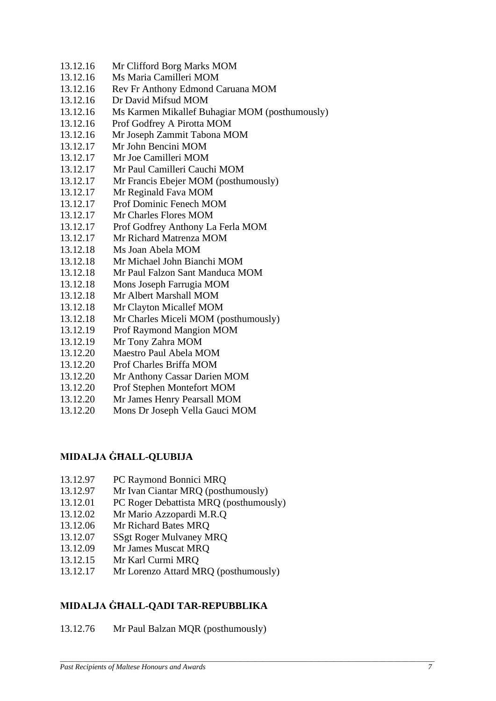- 13.12.16 Mr Clifford Borg Marks MOM
- 13.12.16 Ms Maria Camilleri MOM
- 13.12.16 Rev Fr Anthony Edmond Caruana MOM
- 13.12.16 Dr David Mifsud MOM
- 13.12.16 Ms Karmen Mikallef Buhagiar MOM (posthumously)
- 13.12.16 Prof Godfrey A Pirotta MOM
- 13.12.16 Mr Joseph Zammit Tabona MOM
- 13.12.17 Mr John Bencini MOM
- 13.12.17 Mr Joe Camilleri MOM
- 13.12.17 Mr Paul Camilleri Cauchi MOM
- 13.12.17 Mr Francis Ebejer MOM (posthumously)
- 13.12.17 Mr Reginald Fava MOM
- 13.12.17 Prof Dominic Fenech MOM
- 13.12.17 Mr Charles Flores MOM
- 13.12.17 Prof Godfrey Anthony La Ferla MOM
- 13.12.17 Mr Richard Matrenza MOM
- 13.12.18 Ms Joan Abela MOM
- 13.12.18 Mr Michael John Bianchi MOM
- 13.12.18 Mr Paul Falzon Sant Manduca MOM
- 13.12.18 Mons Joseph Farrugia MOM
- 13.12.18 Mr Albert Marshall MOM
- 13.12.18 Mr Clayton Micallef MOM
- 13.12.18 Mr Charles Miceli MOM (posthumously)
- 13.12.19 Prof Raymond Mangion MOM
- 13.12.19 Mr Tony Zahra MOM
- 13.12.20 Maestro Paul Abela MOM
- 13.12.20 Prof Charles Briffa MOM
- 13.12.20 Mr Anthony Cassar Darien MOM
- 13.12.20 Prof Stephen Montefort MOM
- 13.12.20 Mr James Henry Pearsall MOM
- 13.12.20 Mons Dr Joseph Vella Gauci MOM

# **MIDALJA ĠĦALL-QLUBIJA**

- 13.12.97 PC Raymond Bonnici MRQ
- 13.12.97 Mr Ivan Ciantar MRQ (posthumously)
- 13.12.01 PC Roger Debattista MRQ (posthumously)
- 13.12.02 Mr Mario Azzopardi M.R.Q
- 13.12.06 Mr Richard Bates MRQ
- 13.12.07 SSgt Roger Mulvaney MRQ
- 13.12.09 Mr James Muscat MRQ
- 13.12.15 Mr Karl Curmi MRQ
- 13.12.17 Mr Lorenzo Attard MRQ (posthumously)

# **MIDALJA ĠĦALL-QADI TAR-REPUBBLIKA**

13.12.76 Mr Paul Balzan MQR (posthumously)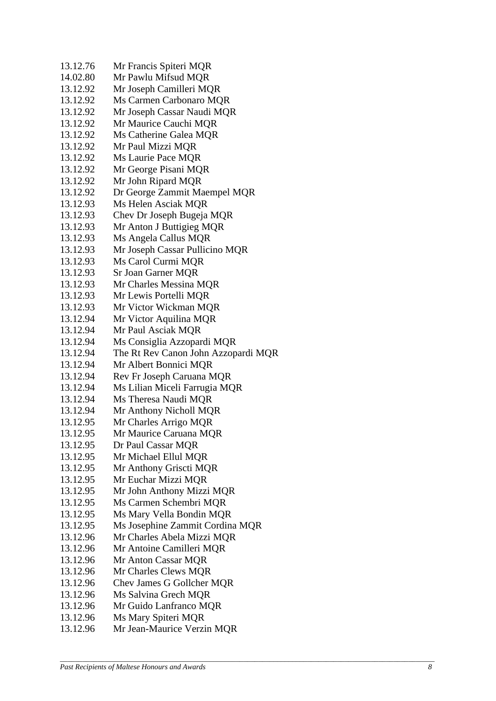| 13.12.76 | Mr Francis Spiteri MQR              |
|----------|-------------------------------------|
| 14.02.80 | Mr Pawlu Mifsud MQR                 |
| 13.12.92 | Mr Joseph Camilleri MQR             |
| 13.12.92 | Ms Carmen Carbonaro MQR             |
| 13.12.92 | Mr Joseph Cassar Naudi MQR          |
| 13.12.92 | Mr Maurice Cauchi MQR               |
| 13.12.92 | Ms Catherine Galea MQR              |
| 13.12.92 | Mr Paul Mizzi MQR                   |
| 13.12.92 | Ms Laurie Pace MQR                  |
| 13.12.92 | Mr George Pisani MQR                |
| 13.12.92 | Mr John Ripard MQR                  |
| 13.12.92 | Dr George Zammit Maempel MQR        |
| 13.12.93 | Ms Helen Asciak MQR                 |
| 13.12.93 | Chev Dr Joseph Bugeja MQR           |
| 13.12.93 | Mr Anton J Buttigieg MQR            |
| 13.12.93 | Ms Angela Callus MQR                |
| 13.12.93 | Mr Joseph Cassar Pullicino MQR      |
| 13.12.93 | Ms Carol Curmi MQR                  |
| 13.12.93 | Sr Joan Garner MQR                  |
| 13.12.93 | Mr Charles Messina MQR              |
| 13.12.93 | Mr Lewis Portelli MQR               |
| 13.12.93 | Mr Victor Wickman MQR               |
| 13.12.94 | Mr Victor Aquilina MQR              |
| 13.12.94 | Mr Paul Asciak MQR                  |
| 13.12.94 | Ms Consiglia Azzopardi MQR          |
| 13.12.94 | The Rt Rev Canon John Azzopardi MQR |
| 13.12.94 | Mr Albert Bonnici MQR               |
| 13.12.94 | Rev Fr Joseph Caruana MQR           |
| 13.12.94 | Ms Lilian Miceli Farrugia MQR       |
| 13.12.94 | Ms Theresa Naudi MQR                |
| 13.12.94 | Mr Anthony Nicholl MQR              |
| 13.12.95 | Mr Charles Arrigo MQR               |
| 13.12.95 | Mr Maurice Caruana MQR              |
| 13.12.95 | Dr Paul Cassar MQR                  |
| 13.12.95 | Mr Michael Ellul MQR                |
| 13.12.95 | Mr Anthony Griscti MQR              |
| 13.12.95 | Mr Euchar Mizzi MQR                 |
| 13.12.95 | Mr John Anthony Mizzi MQR           |
| 13.12.95 | Ms Carmen Schembri MQR              |
| 13.12.95 | Ms Mary Vella Bondin MQR            |
| 13.12.95 | Ms Josephine Zammit Cordina MQR     |
| 13.12.96 | Mr Charles Abela Mizzi MQR          |
| 13.12.96 | Mr Antoine Camilleri MQR            |
| 13.12.96 | Mr Anton Cassar MQR                 |
| 13.12.96 | Mr Charles Clews MQR                |
| 13.12.96 | Chev James G Gollcher MQR           |
| 13.12.96 | Ms Salvina Grech MQR                |
| 13.12.96 | Mr Guido Lanfranco MQR              |
| 13.12.96 | Ms Mary Spiteri MQR                 |
| 13.12.96 | Mr Jean-Maurice Verzin MQR          |
|          |                                     |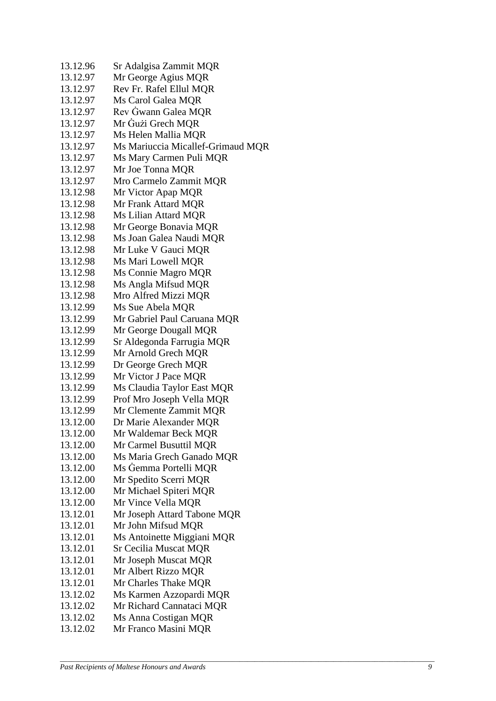| 13.12.96 | Sr Adalgisa Zammit MQR            |
|----------|-----------------------------------|
| 13.12.97 | Mr George Agius MQR               |
| 13.12.97 | Rev Fr. Rafel Ellul MQR           |
| 13.12.97 | Ms Carol Galea MQR                |
| 13.12.97 | Rev Gwann Galea MQR               |
| 13.12.97 | Mr Gużi Grech MQR                 |
| 13.12.97 | Ms Helen Mallia MQR               |
| 13.12.97 | Ms Mariuccia Micallef-Grimaud MQR |
| 13.12.97 | Ms Mary Carmen Puli MQR           |
| 13.12.97 | Mr Joe Tonna MQR                  |
| 13.12.97 | Mro Carmelo Zammit MQR            |
| 13.12.98 | Mr Victor Apap MQR                |
| 13.12.98 | Mr Frank Attard MQR               |
| 13.12.98 | Ms Lilian Attard MQR              |
| 13.12.98 | Mr George Bonavia MQR             |
| 13.12.98 | Ms Joan Galea Naudi MQR           |
| 13.12.98 | Mr Luke V Gauci MQR               |
| 13.12.98 | Ms Mari Lowell MQR                |
| 13.12.98 | Ms Connie Magro MQR               |
| 13.12.98 | Ms Angla Mifsud MQR               |
| 13.12.98 | Mro Alfred Mizzi MQR              |
| 13.12.99 | Ms Sue Abela MQR                  |
| 13.12.99 | Mr Gabriel Paul Caruana MQR       |
| 13.12.99 | Mr George Dougall MQR             |
| 13.12.99 | Sr Aldegonda Farrugia MQR         |
| 13.12.99 | Mr Arnold Grech MQR               |
| 13.12.99 | Dr George Grech MQR               |
| 13.12.99 | Mr Victor J Pace MQR              |
| 13.12.99 | Ms Claudia Taylor East MQR        |
| 13.12.99 | Prof Mro Joseph Vella MQR         |
| 13.12.99 | Mr Clemente Zammit MQR            |
| 13.12.00 | Dr Marie Alexander MQR            |
| 13.12.00 | Mr Waldemar Beck MQR              |
| 13.12.00 | Mr Carmel Busuttil MQR            |
| 13.12.00 | Ms Maria Grech Ganado MQR         |
| 13.12.00 | Ms Gemma Portelli MQR             |
| 13.12.00 | Mr Spedito Scerri MQR             |
| 13.12.00 | Mr Michael Spiteri MQR            |
| 13.12.00 | Mr Vince Vella MQR                |
| 13.12.01 | Mr Joseph Attard Tabone MQR       |
| 13.12.01 | Mr John Mifsud MQR                |
| 13.12.01 | Ms Antoinette Miggiani MQR        |
| 13.12.01 | <b>Sr Cecilia Muscat MQR</b>      |
| 13.12.01 | Mr Joseph Muscat MQR              |
| 13.12.01 | Mr Albert Rizzo MQR               |
| 13.12.01 | Mr Charles Thake MQR              |
| 13.12.02 | Ms Karmen Azzopardi MQR           |
| 13.12.02 | Mr Richard Cannataci MQR          |
| 13.12.02 | Ms Anna Costigan MQR              |
| 13.12.02 | Mr Franco Masini MQR              |
|          |                                   |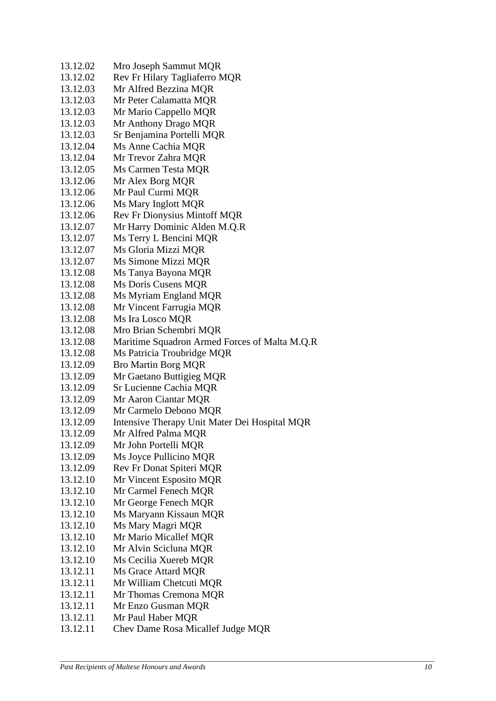| 13.12.02 | Mro Joseph Sammut MQR                         |
|----------|-----------------------------------------------|
| 13.12.02 | Rev Fr Hilary Tagliaferro MQR                 |
| 13.12.03 | Mr Alfred Bezzina MQR                         |
| 13.12.03 | Mr Peter Calamatta MQR                        |
| 13.12.03 | Mr Mario Cappello MQR                         |
| 13.12.03 | Mr Anthony Drago MQR                          |
| 13.12.03 | Sr Benjamina Portelli MQR                     |
| 13.12.04 | Ms Anne Cachia MQR                            |
| 13.12.04 | Mr Trevor Zahra MQR                           |
| 13.12.05 | Ms Carmen Testa MQR                           |
| 13.12.06 | Mr Alex Borg MQR                              |
| 13.12.06 | Mr Paul Curmi MQR                             |
| 13.12.06 | Ms Mary Inglott MQR                           |
| 13.12.06 | <b>Rev Fr Dionysius Mintoff MQR</b>           |
| 13.12.07 | Mr Harry Dominic Alden M.Q.R                  |
| 13.12.07 | Ms Terry L Bencini MQR                        |
| 13.12.07 | Ms Gloria Mizzi MQR                           |
| 13.12.07 | Ms Simone Mizzi MQR                           |
| 13.12.08 | Ms Tanya Bayona MQR                           |
| 13.12.08 | Ms Doris Cusens MQR                           |
| 13.12.08 | Ms Myriam England MQR                         |
| 13.12.08 | Mr Vincent Farrugia MQR                       |
| 13.12.08 | Ms Ira Losco MQR                              |
| 13.12.08 | Mro Brian Schembri MQR                        |
| 13.12.08 | Maritime Squadron Armed Forces of Malta M.Q.R |
| 13.12.08 | Ms Patricia Troubridge MQR                    |
| 13.12.09 | <b>Bro Martin Borg MQR</b>                    |
| 13.12.09 | Mr Gaetano Buttigieg MQR                      |
| 13.12.09 | Sr Lucienne Cachia MQR                        |
| 13.12.09 | Mr Aaron Ciantar MQR                          |
| 13.12.09 | Mr Carmelo Debono MQR                         |
| 13.12.09 | Intensive Therapy Unit Mater Dei Hospital MQR |
| 13.12.09 | Mr Alfred Palma MQR                           |
| 13.12.09 | Mr John Portelli MQR                          |
| 13.12.09 | Ms Joyce Pullicino MQR                        |
| 13.12.09 | Rev Fr Donat Spiteri MQR                      |
| 13.12.10 | Mr Vincent Esposito MQR                       |
| 13.12.10 | Mr Carmel Fenech MQR                          |
| 13.12.10 | Mr George Fenech MQR                          |
| 13.12.10 | Ms Maryann Kissaun MQR                        |
| 13.12.10 | Ms Mary Magri MQR                             |
| 13.12.10 | Mr Mario Micallef MQR                         |
| 13.12.10 | Mr Alvin Scicluna MQR                         |
| 13.12.10 | Ms Cecilia Xuereb MQR                         |
| 13.12.11 | Ms Grace Attard MQR                           |
| 13.12.11 | Mr William Chetcuti MQR                       |
| 13.12.11 | Mr Thomas Cremona MQR                         |
| 13.12.11 | Mr Enzo Gusman MQR                            |
| 13.12.11 | Mr Paul Haber MQR                             |
| 13.12.11 | Chev Dame Rosa Micallef Judge MQR             |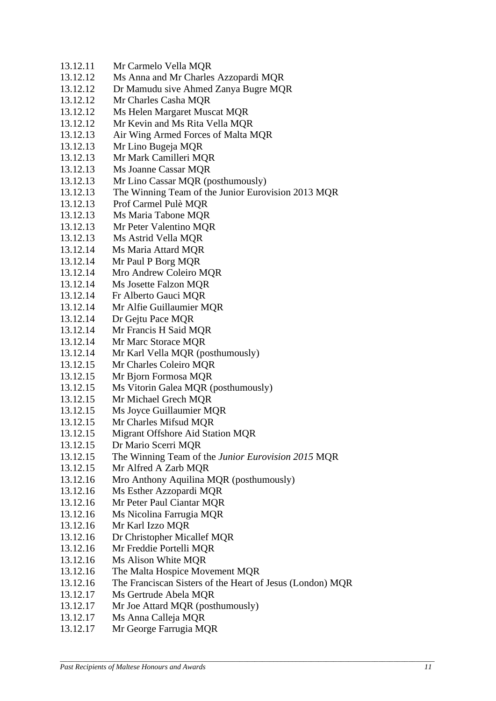- 13.12.11 Mr Carmelo Vella MQR
- 13.12.12 Ms Anna and Mr Charles Azzopardi MQR
- 13.12.12 Dr Mamudu sive Ahmed Zanya Bugre MQR
- 13.12.12 Mr Charles Casha MQR
- 13.12.12 Ms Helen Margaret Muscat MQR
- 13.12.12 Mr Kevin and Ms Rita Vella MQR
- 13.12.13 Air Wing Armed Forces of Malta MQR
- 13.12.13 Mr Lino Bugeja MQR
- 13.12.13 Mr Mark Camilleri MQR
- 13.12.13 Ms Joanne Cassar MQR
- 13.12.13 Mr Lino Cassar MQR (posthumously)
- 13.12.13 The Winning Team of the Junior Eurovision 2013 MQR
- 13.12.13 Prof Carmel Pulè MQR
- 13.12.13 Ms Maria Tabone MQR
- 13.12.13 Mr Peter Valentino MQR
- 13.12.13 Ms Astrid Vella MQR
- 13.12.14 Ms Maria Attard MQR
- 13.12.14 Mr Paul P Borg MQR
- 13.12.14 Mro Andrew Coleiro MQR
- 13.12.14 Ms Josette Falzon MQR
- 13.12.14 Fr Alberto Gauci MQR
- 13.12.14 Mr Alfie Guillaumier MQR
- 13.12.14 Dr Gejtu Pace MQR
- 13.12.14 Mr Francis H Said MQR
- 13.12.14 Mr Marc Storace MQR
- 13.12.14 Mr Karl Vella MQR (posthumously)
- 13.12.15 Mr Charles Coleiro MQR
- 13.12.15 Mr Bjorn Formosa MQR
- 13.12.15 Ms Vitorin Galea MQR (posthumously)
- 13.12.15 Mr Michael Grech MQR
- 13.12.15 Ms Joyce Guillaumier MQR
- 13.12.15 Mr Charles Mifsud MQR
- 13.12.15 Migrant Offshore Aid Station MQR
- 13.12.15 Dr Mario Scerri MQR
- 13.12.15 The Winning Team of the *Junior Eurovision 2015* MQR
- 13.12.15 Mr Alfred A Zarb MQR
- 13.12.16 Mro Anthony Aquilina MQR (posthumously)
- 13.12.16 Ms Esther Azzopardi MQR
- 13.12.16 Mr Peter Paul Ciantar MQR
- 13.12.16 Ms Nicolina Farrugia MQR
- 13.12.16 Mr Karl Izzo MQR
- 13.12.16 Dr Christopher Micallef MQR
- 13.12.16 Mr Freddie Portelli MQR
- 13.12.16 Ms Alison White MQR
- 13.12.16 The Malta Hospice Movement MQR
- 13.12.16 The Franciscan Sisters of the Heart of Jesus (London) MQR
- 13.12.17 Ms Gertrude Abela MQR
- 13.12.17 Mr Joe Attard MQR (posthumously)
- 13.12.17 Ms Anna Calleja MQR
- 13.12.17 Mr George Farrugia MQR